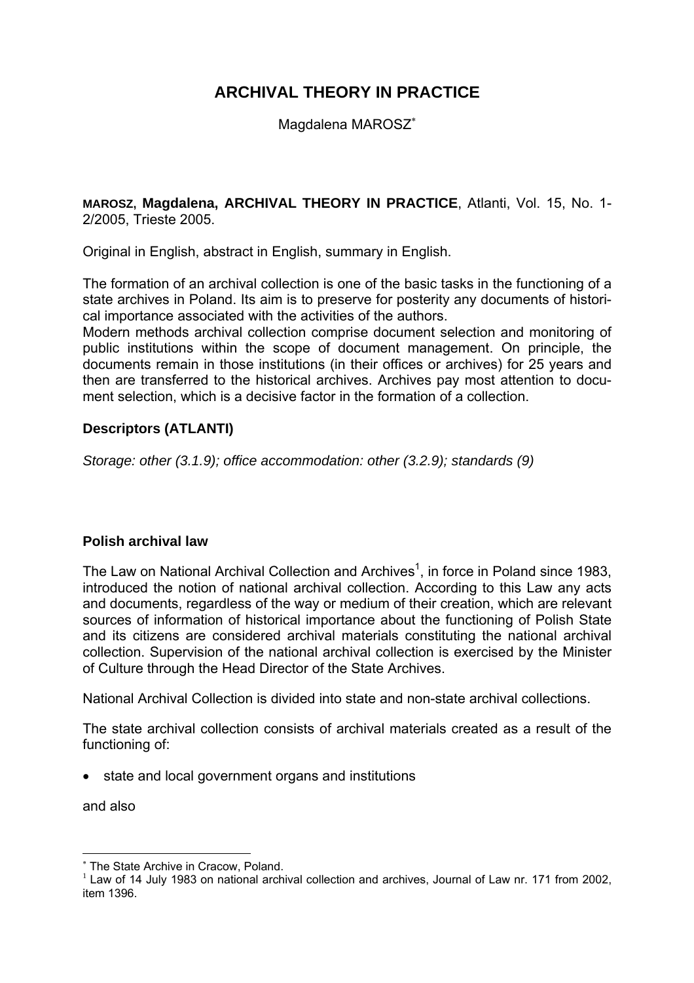# **ARCHIVAL THEORY IN PRACTICE**

Magdalena MAROSZ<sup>∗</sup>

**MAROSZ, Magdalena, ARCHIVAL THEORY IN PRACTICE**, Atlanti, Vol. 15, No. 1- 2/2005, Trieste 2005.

Original in English, abstract in English, summary in English.

The formation of an archival collection is one of the basic tasks in the functioning of a state archives in Poland. Its aim is to preserve for posterity any documents of historical importance associated with the activities of the authors.

Modern methods archival collection comprise document selection and monitoring of public institutions within the scope of document management. On principle, the documents remain in those institutions (in their offices or archives) for 25 years and then are transferred to the historical archives. Archives pay most attention to document selection, which is a decisive factor in the formation of a collection.

## **Descriptors (ATLANTI)**

*Storage: other (3.1.9); office accommodation: other (3.2.9); standards (9)* 

## **Polish archival law**

The Law on National Archival Collection and Archives<sup>1</sup>, in force in Poland since 1983, introduced the notion of national archival collection. According to this Law any acts and documents, regardless of the way or medium of their creation, which are relevant sources of information of historical importance about the functioning of Polish State and its citizens are considered archival materials constituting the national archival collection. Supervision of the national archival collection is exercised by the Minister of Culture through the Head Director of the State Archives.

National Archival Collection is divided into state and non-state archival collections.

The state archival collection consists of archival materials created as a result of the functioning of:

• state and local government organs and institutions

and also

 $\overline{a}$ 

<sup>∗</sup> The State Archive in Cracow, Poland.

 $1$  Law of 14 July 1983 on national archival collection and archives, Journal of Law nr. 171 from 2002, item 1396.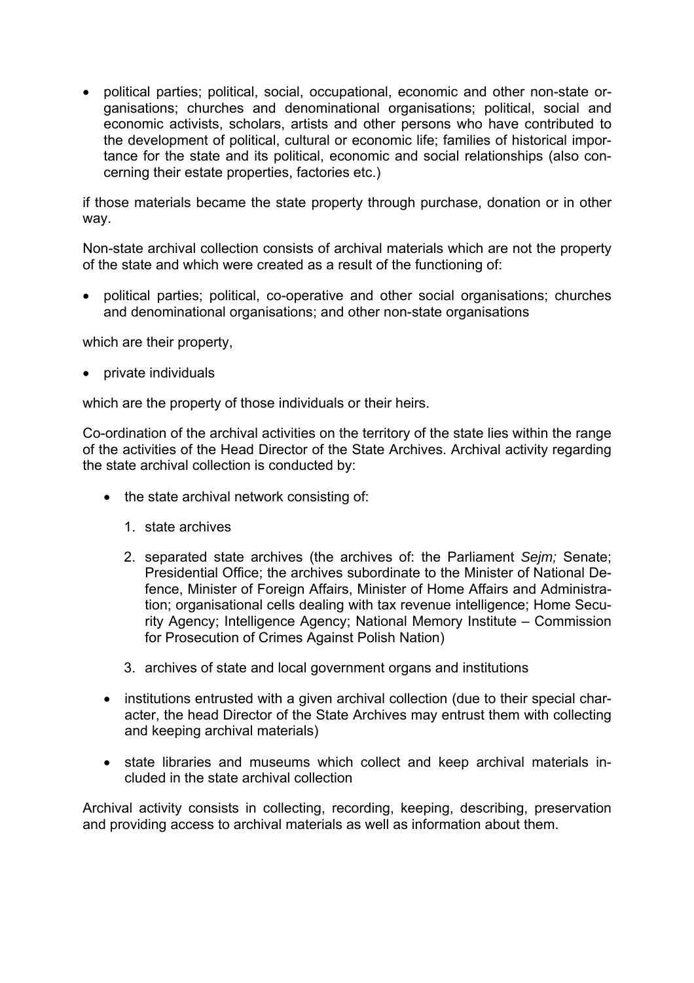• political parties; political, social, occupational, economic and other non-state organisations; churches and denominational organisations; political, social and economic activists, scholars, artists and other persons who have contributed to the development of political, cultural or economic life; families of historical importance for the state and its political, economic and social relationships (also concerning their estate properties, factories etc.)

if those materials became the state property through purchase, donation or in other way.

Non-state archival collection consists of archival materials which are not the property of the state and which were created as a result of the functioning of:

• political parties; political, co-operative and other social organisations; churches and denominational organisations; and other non-state organisations

which are their property.

• private individuals

which are the property of those individuals or their heirs.

Co-ordination of the archival activities on the territory of the state lies within the range of the activities of the Head Director of the State Archives. Archival activity regarding the state archival collection is conducted by:

- the state archival network consisting of:
	- 1. state archives
	- 2. separated state archives (the archives of: the Parliament *Sejm;* Senate; Presidential Office; the archives subordinate to the Minister of National Defence, Minister of Foreign Affairs, Minister of Home Affairs and Administration; organisational cells dealing with tax revenue intelligence; Home Security Agency; Intelligence Agency; National Memory Institute – Commission for Prosecution of Crimes Against Polish Nation)
	- 3. archives of state and local government organs and institutions
- institutions entrusted with a given archival collection (due to their special character, the head Director of the State Archives may entrust them with collecting and keeping archival materials)
- state libraries and museums which collect and keep archival materials included in the state archival collection

Archival activity consists in collecting, recording, keeping, describing, preservation and providing access to archival materials as well as information about them.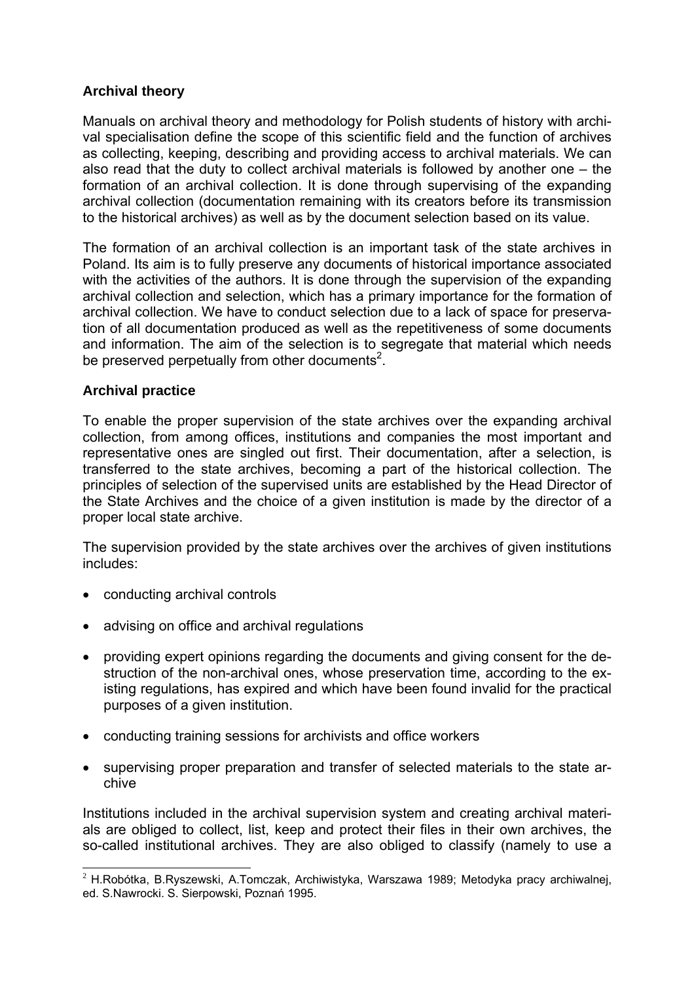# **Archival theory**

Manuals on archival theory and methodology for Polish students of history with archival specialisation define the scope of this scientific field and the function of archives as collecting, keeping, describing and providing access to archival materials. We can also read that the duty to collect archival materials is followed by another one – the formation of an archival collection. It is done through supervising of the expanding archival collection (documentation remaining with its creators before its transmission to the historical archives) as well as by the document selection based on its value.

The formation of an archival collection is an important task of the state archives in Poland. Its aim is to fully preserve any documents of historical importance associated with the activities of the authors. It is done through the supervision of the expanding archival collection and selection, which has a primary importance for the formation of archival collection. We have to conduct selection due to a lack of space for preservation of all documentation produced as well as the repetitiveness of some documents and information. The aim of the selection is to segregate that material which needs be preserved perpetually from other documents<sup>2</sup>.

## **Archival practice**

To enable the proper supervision of the state archives over the expanding archival collection, from among offices, institutions and companies the most important and representative ones are singled out first. Their documentation, after a selection, is transferred to the state archives, becoming a part of the historical collection. The principles of selection of the supervised units are established by the Head Director of the State Archives and the choice of a given institution is made by the director of a proper local state archive.

The supervision provided by the state archives over the archives of given institutions includes:

- conducting archival controls
- advising on office and archival regulations
- providing expert opinions regarding the documents and giving consent for the destruction of the non-archival ones, whose preservation time, according to the existing regulations, has expired and which have been found invalid for the practical purposes of a given institution.
- conducting training sessions for archivists and office workers
- supervising proper preparation and transfer of selected materials to the state archive

Institutions included in the archival supervision system and creating archival materials are obliged to collect, list, keep and protect their files in their own archives, the so-called institutional archives. They are also obliged to classify (namely to use a

 $\overline{a}$  $2$  H.Robótka, B.Ryszewski, A.Tomczak, Archiwistyka, Warszawa 1989; Metodyka pracy archiwalnej, ed. S.Nawrocki. S. Sierpowski, Poznań 1995.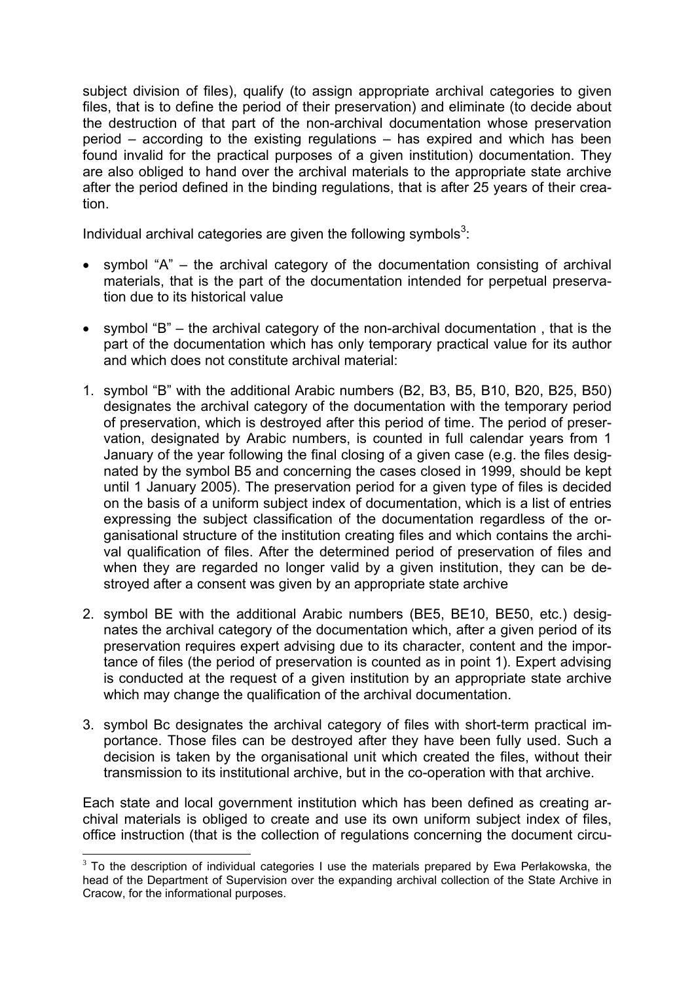subject division of files), qualify (to assign appropriate archival categories to given files, that is to define the period of their preservation) and eliminate (to decide about the destruction of that part of the non-archival documentation whose preservation period – according to the existing regulations – has expired and which has been found invalid for the practical purposes of a given institution) documentation. They are also obliged to hand over the archival materials to the appropriate state archive after the period defined in the binding regulations, that is after 25 years of their creation.

Individual archival categories are given the following symbols<sup>3</sup>:

- symbol "A" the archival category of the documentation consisting of archival materials, that is the part of the documentation intended for perpetual preservation due to its historical value
- symbol "B" the archival category of the non-archival documentation , that is the part of the documentation which has only temporary practical value for its author and which does not constitute archival material:
- 1. symbol "B" with the additional Arabic numbers (B2, B3, B5, B10, B20, B25, B50) designates the archival category of the documentation with the temporary period of preservation, which is destroyed after this period of time. The period of preservation, designated by Arabic numbers, is counted in full calendar years from 1 January of the year following the final closing of a given case (e.g. the files designated by the symbol B5 and concerning the cases closed in 1999, should be kept until 1 January 2005). The preservation period for a given type of files is decided on the basis of a uniform subject index of documentation, which is a list of entries expressing the subject classification of the documentation regardless of the organisational structure of the institution creating files and which contains the archival qualification of files. After the determined period of preservation of files and when they are regarded no longer valid by a given institution, they can be destroyed after a consent was given by an appropriate state archive
- 2. symbol BE with the additional Arabic numbers (BE5, BE10, BE50, etc.) designates the archival category of the documentation which, after a given period of its preservation requires expert advising due to its character, content and the importance of files (the period of preservation is counted as in point 1). Expert advising is conducted at the request of a given institution by an appropriate state archive which may change the qualification of the archival documentation.
- 3. symbol Bc designates the archival category of files with short-term practical importance. Those files can be destroyed after they have been fully used. Such a decision is taken by the organisational unit which created the files, without their transmission to its institutional archive, but in the co-operation with that archive.

Each state and local government institution which has been defined as creating archival materials is obliged to create and use its own uniform subject index of files, office instruction (that is the collection of regulations concerning the document circu-

 $\overline{a}$ 

 $3$  To the description of individual categories I use the materials prepared by Ewa Perłakowska, the head of the Department of Supervision over the expanding archival collection of the State Archive in Cracow, for the informational purposes.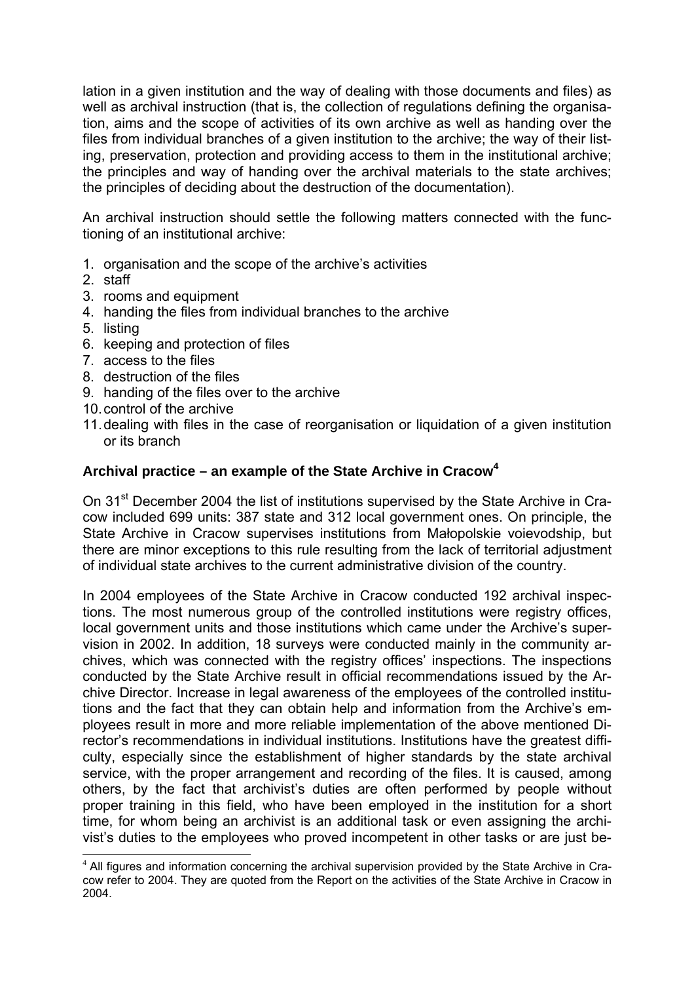lation in a given institution and the way of dealing with those documents and files) as well as archival instruction (that is, the collection of regulations defining the organisation, aims and the scope of activities of its own archive as well as handing over the files from individual branches of a given institution to the archive; the way of their listing, preservation, protection and providing access to them in the institutional archive; the principles and way of handing over the archival materials to the state archives; the principles of deciding about the destruction of the documentation).

An archival instruction should settle the following matters connected with the functioning of an institutional archive:

- 1. organisation and the scope of the archive's activities
- 2. staff
- 3. rooms and equipment
- 4. handing the files from individual branches to the archive
- 5. listing

 $\overline{a}$ 

- 6. keeping and protection of files
- 7. access to the files
- 8. destruction of the files
- 9. handing of the files over to the archive
- 10. control of the archive
- 11. dealing with files in the case of reorganisation or liquidation of a given institution or its branch

## **Archival practice – an example of the State Archive in Cracow<sup>4</sup>**

On 31<sup>st</sup> December 2004 the list of institutions supervised by the State Archive in Cracow included 699 units: 387 state and 312 local government ones. On principle, the State Archive in Cracow supervises institutions from Małopolskie voievodship, but there are minor exceptions to this rule resulting from the lack of territorial adjustment of individual state archives to the current administrative division of the country.

In 2004 employees of the State Archive in Cracow conducted 192 archival inspections. The most numerous group of the controlled institutions were registry offices, local government units and those institutions which came under the Archive's supervision in 2002. In addition, 18 surveys were conducted mainly in the community archives, which was connected with the registry offices' inspections. The inspections conducted by the State Archive result in official recommendations issued by the Archive Director. Increase in legal awareness of the employees of the controlled institutions and the fact that they can obtain help and information from the Archive's employees result in more and more reliable implementation of the above mentioned Director's recommendations in individual institutions. Institutions have the greatest difficulty, especially since the establishment of higher standards by the state archival service, with the proper arrangement and recording of the files. It is caused, among others, by the fact that archivist's duties are often performed by people without proper training in this field, who have been employed in the institution for a short time, for whom being an archivist is an additional task or even assigning the archivist's duties to the employees who proved incompetent in other tasks or are just be-

<sup>&</sup>lt;sup>4</sup> All figures and information concerning the archival supervision provided by the State Archive in Cracow refer to 2004. They are quoted from the Report on the activities of the State Archive in Cracow in 2004.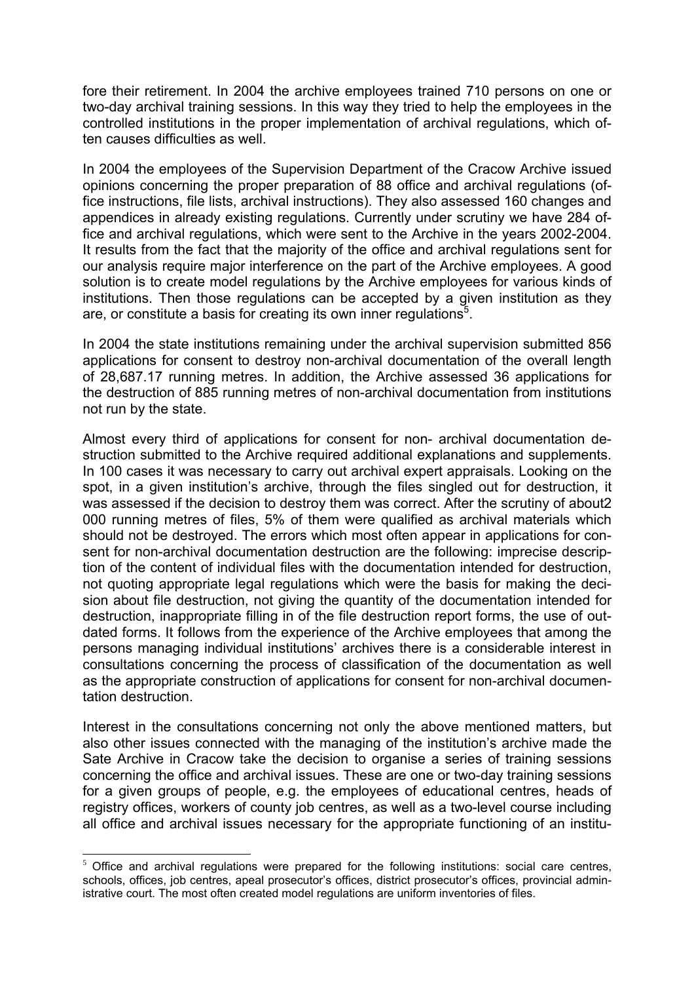fore their retirement. In 2004 the archive employees trained 710 persons on one or two-day archival training sessions. In this way they tried to help the employees in the controlled institutions in the proper implementation of archival regulations, which often causes difficulties as well.

In 2004 the employees of the Supervision Department of the Cracow Archive issued opinions concerning the proper preparation of 88 office and archival regulations (office instructions, file lists, archival instructions). They also assessed 160 changes and appendices in already existing regulations. Currently under scrutiny we have 284 office and archival regulations, which were sent to the Archive in the years 2002-2004. It results from the fact that the majority of the office and archival regulations sent for our analysis require major interference on the part of the Archive employees. A good solution is to create model regulations by the Archive employees for various kinds of institutions. Then those regulations can be accepted by a given institution as they are, or constitute a basis for creating its own inner regulations<sup>5</sup>.

In 2004 the state institutions remaining under the archival supervision submitted 856 applications for consent to destroy non-archival documentation of the overall length of 28,687.17 running metres. In addition, the Archive assessed 36 applications for the destruction of 885 running metres of non-archival documentation from institutions not run by the state.

Almost every third of applications for consent for non- archival documentation destruction submitted to the Archive required additional explanations and supplements. In 100 cases it was necessary to carry out archival expert appraisals. Looking on the spot, in a given institution's archive, through the files singled out for destruction, it was assessed if the decision to destroy them was correct. After the scrutiny of about2 000 running metres of files, 5% of them were qualified as archival materials which should not be destroyed. The errors which most often appear in applications for consent for non-archival documentation destruction are the following: imprecise description of the content of individual files with the documentation intended for destruction, not quoting appropriate legal regulations which were the basis for making the decision about file destruction, not giving the quantity of the documentation intended for destruction, inappropriate filling in of the file destruction report forms, the use of outdated forms. It follows from the experience of the Archive employees that among the persons managing individual institutions' archives there is a considerable interest in consultations concerning the process of classification of the documentation as well as the appropriate construction of applications for consent for non-archival documentation destruction.

Interest in the consultations concerning not only the above mentioned matters, but also other issues connected with the managing of the institution's archive made the Sate Archive in Cracow take the decision to organise a series of training sessions concerning the office and archival issues. These are one or two-day training sessions for a given groups of people, e.g. the employees of educational centres, heads of registry offices, workers of county job centres, as well as a two-level course including all office and archival issues necessary for the appropriate functioning of an institu-

 $\overline{a}$  $5$  Office and archival regulations were prepared for the following institutions: social care centres, schools, offices, job centres, apeal prosecutor's offices, district prosecutor's offices, provincial administrative court. The most often created model regulations are uniform inventories of files.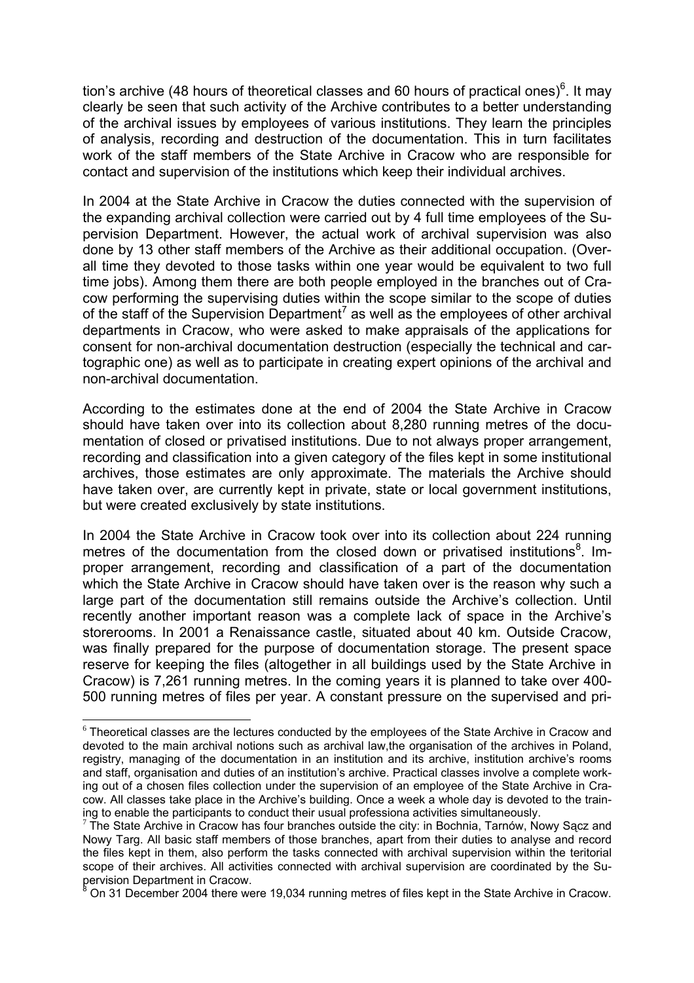tion's archive (48 hours of theoretical classes and 60 hours of practical ones)<sup>6</sup>. It may clearly be seen that such activity of the Archive contributes to a better understanding of the archival issues by employees of various institutions. They learn the principles of analysis, recording and destruction of the documentation. This in turn facilitates work of the staff members of the State Archive in Cracow who are responsible for contact and supervision of the institutions which keep their individual archives.

In 2004 at the State Archive in Cracow the duties connected with the supervision of the expanding archival collection were carried out by 4 full time employees of the Supervision Department. However, the actual work of archival supervision was also done by 13 other staff members of the Archive as their additional occupation. (Overall time they devoted to those tasks within one year would be equivalent to two full time jobs). Among them there are both people employed in the branches out of Cracow performing the supervising duties within the scope similar to the scope of duties of the staff of the Supervision Department<sup>7</sup> as well as the employees of other archival departments in Cracow, who were asked to make appraisals of the applications for consent for non-archival documentation destruction (especially the technical and cartographic one) as well as to participate in creating expert opinions of the archival and non-archival documentation.

According to the estimates done at the end of 2004 the State Archive in Cracow should have taken over into its collection about 8,280 running metres of the documentation of closed or privatised institutions. Due to not always proper arrangement, recording and classification into a given category of the files kept in some institutional archives, those estimates are only approximate. The materials the Archive should have taken over, are currently kept in private, state or local government institutions, but were created exclusively by state institutions.

In 2004 the State Archive in Cracow took over into its collection about 224 running metres of the documentation from the closed down or privatised institutions<sup>8</sup>. Improper arrangement, recording and classification of a part of the documentation which the State Archive in Cracow should have taken over is the reason why such a large part of the documentation still remains outside the Archive's collection. Until recently another important reason was a complete lack of space in the Archive's storerooms. In 2001 a Renaissance castle, situated about 40 km. Outside Cracow, was finally prepared for the purpose of documentation storage. The present space reserve for keeping the files (altogether in all buildings used by the State Archive in Cracow) is 7,261 running metres. In the coming years it is planned to take over 400- 500 running metres of files per year. A constant pressure on the supervised and pri-

 $\overline{a}$ 

<sup>&</sup>lt;sup>6</sup> Theoretical classes are the lectures conducted by the employees of the State Archive in Cracow and devoted to the main archival notions such as archival law,the organisation of the archives in Poland, registry, managing of the documentation in an institution and its archive, institution archive's rooms and staff, organisation and duties of an institution's archive. Practical classes involve a complete working out of a chosen files collection under the supervision of an employee of the State Archive in Cracow. All classes take place in the Archive's building. Once a week a whole day is devoted to the train-<br>ing to enable the participants to conduct their usual professiona activities simultaneously.

 $\frac{7}{7}$  The State Archive in Cracow has four branches outside the city: in Bochnia, Tarnów, Nowy Sacz and Nowy Targ. All basic staff members of those branches, apart from their duties to analyse and record the files kept in them, also perform the tasks connected with archival supervision within the teritorial scope of their archives. All activities connected with archival supervision are coordinated by the Supervision Department in Cracow. 8

 $3$  On 31 December 2004 there were 19.034 running metres of files kept in the State Archive in Cracow.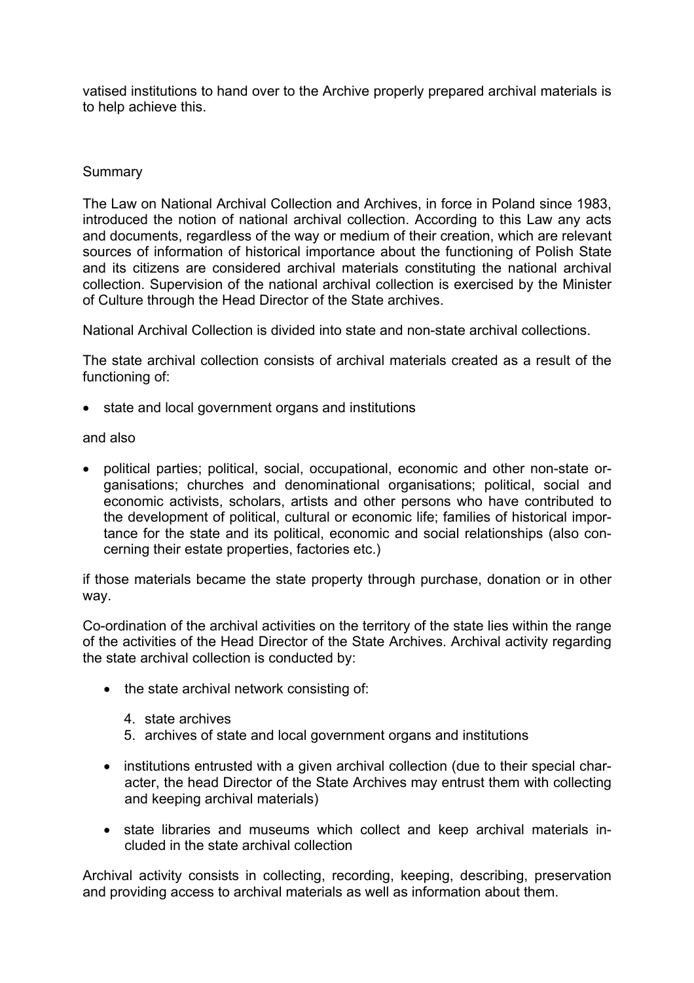vatised institutions to hand over to the Archive properly prepared archival materials is to help achieve this.

## **Summary**

The Law on National Archival Collection and Archives, in force in Poland since 1983, introduced the notion of national archival collection. According to this Law any acts and documents, regardless of the way or medium of their creation, which are relevant sources of information of historical importance about the functioning of Polish State and its citizens are considered archival materials constituting the national archival collection. Supervision of the national archival collection is exercised by the Minister of Culture through the Head Director of the State archives.

National Archival Collection is divided into state and non-state archival collections.

The state archival collection consists of archival materials created as a result of the functioning of:

• state and local government organs and institutions

and also

• political parties; political, social, occupational, economic and other non-state organisations; churches and denominational organisations; political, social and economic activists, scholars, artists and other persons who have contributed to the development of political, cultural or economic life; families of historical importance for the state and its political, economic and social relationships (also concerning their estate properties, factories etc.)

if those materials became the state property through purchase, donation or in other way.

Co-ordination of the archival activities on the territory of the state lies within the range of the activities of the Head Director of the State Archives. Archival activity regarding the state archival collection is conducted by:

- the state archival network consisting of:
	- 4. state archives
	- 5. archives of state and local government organs and institutions
- institutions entrusted with a given archival collection (due to their special character, the head Director of the State Archives may entrust them with collecting and keeping archival materials)
- state libraries and museums which collect and keep archival materials included in the state archival collection

Archival activity consists in collecting, recording, keeping, describing, preservation and providing access to archival materials as well as information about them.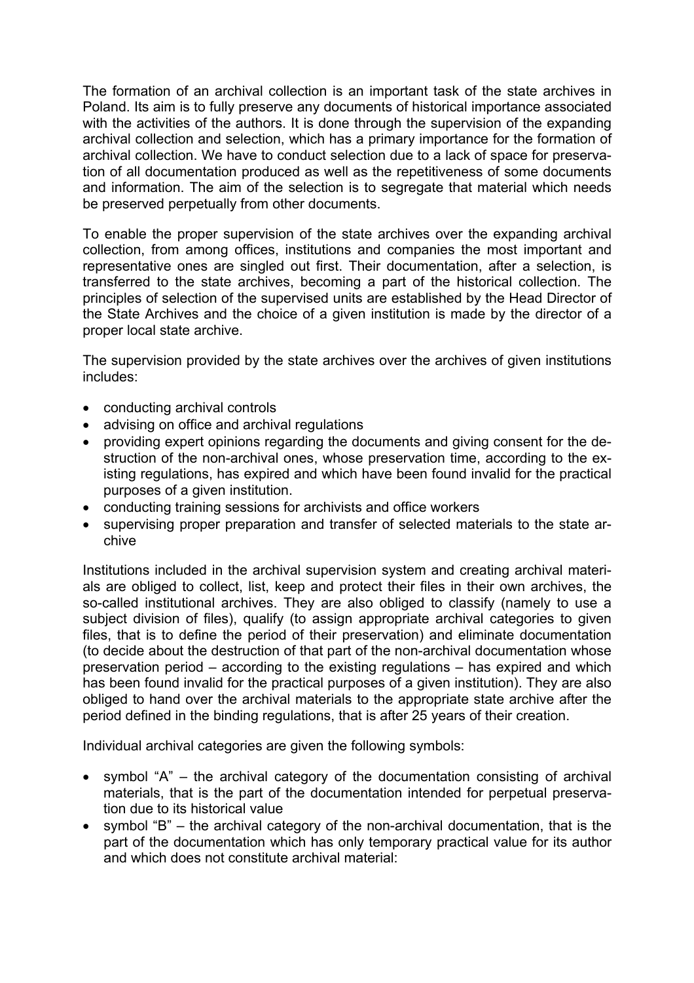The formation of an archival collection is an important task of the state archives in Poland. Its aim is to fully preserve any documents of historical importance associated with the activities of the authors. It is done through the supervision of the expanding archival collection and selection, which has a primary importance for the formation of archival collection. We have to conduct selection due to a lack of space for preservation of all documentation produced as well as the repetitiveness of some documents and information. The aim of the selection is to segregate that material which needs be preserved perpetually from other documents.

To enable the proper supervision of the state archives over the expanding archival collection, from among offices, institutions and companies the most important and representative ones are singled out first. Their documentation, after a selection, is transferred to the state archives, becoming a part of the historical collection. The principles of selection of the supervised units are established by the Head Director of the State Archives and the choice of a given institution is made by the director of a proper local state archive.

The supervision provided by the state archives over the archives of given institutions includes:

- conducting archival controls
- advising on office and archival regulations
- providing expert opinions regarding the documents and giving consent for the destruction of the non-archival ones, whose preservation time, according to the existing regulations, has expired and which have been found invalid for the practical purposes of a given institution.
- conducting training sessions for archivists and office workers
- supervising proper preparation and transfer of selected materials to the state archive

Institutions included in the archival supervision system and creating archival materials are obliged to collect, list, keep and protect their files in their own archives, the so-called institutional archives. They are also obliged to classify (namely to use a subject division of files), qualify (to assign appropriate archival categories to given files, that is to define the period of their preservation) and eliminate documentation (to decide about the destruction of that part of the non-archival documentation whose preservation period – according to the existing regulations – has expired and which has been found invalid for the practical purposes of a given institution). They are also obliged to hand over the archival materials to the appropriate state archive after the period defined in the binding regulations, that is after 25 years of their creation.

Individual archival categories are given the following symbols:

- symbol "A" the archival category of the documentation consisting of archival materials, that is the part of the documentation intended for perpetual preservation due to its historical value
- symbol "B" the archival category of the non-archival documentation, that is the part of the documentation which has only temporary practical value for its author and which does not constitute archival material: